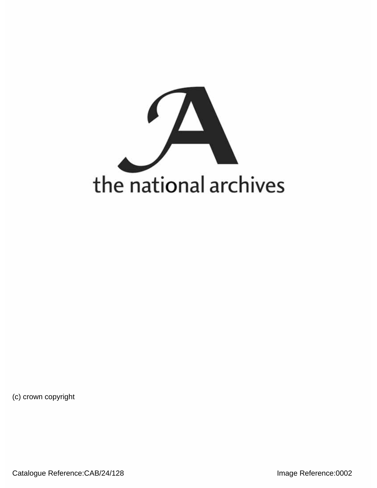

(c) crown copyright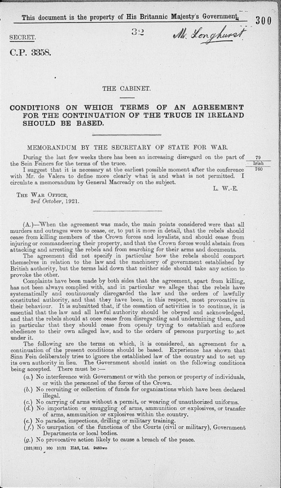This document is the property of His Britannic Majesty's Government.

 $39$ 

SECRET.

CP. 3358.

#### THE CABINET.

# **CONDITIONS ON WHICH TERMS OF AN AGREEMENT** FOR THE CONTINUATION OF THE TRUCE IN IRELAND **SHOULD BE BASED.**

## MEMORANDUM BY THE SECRETARY OF STATE FOR WAR.

During the last few weeks there has been an increasing disregard on the part of the Sein Feiners for the terms of the truce.

I suggest that it is necessary at the earliest possible moment after the conference 760 with Mr. de Valera to define more clearly what is and what is not permitted. circulate a memorandum by General Macready on the subject.

L. W.-E.

THE WAR OFFICE, *3rd October,* 1921.

(A.)—When the agreement was made, the main points considered were that all murders and outrages were to cease, or, to put it more in detail, that the rebels should cease from killing members of the Crown forces and loyalists, and should cease from injuring or commandeering their property, and that the Crown forces would abstain from attacking and arresting the rebels and from searching for their arms and documents.

The agreement did not specify in particular how the rebels should comport themselves in relation to the law and the machinery of government established by British authority, but the terms laid down that neither side should take any action to provoke the other.

Complaints have been made by both sides that the agreement, apart from killing, has not been always complied with, and in particular we allege that the rebels have systematically and continuously disregarded the law and the orders of lawfully constituted authority, and that they have been, in this respect, most provocative in their behaviour. It is submitted that, if the cessation of activities is to continue, it is essential that the law and all lawful authority should be obeyed and acknowledged, and that the rebels should at once cease from disregarding and undermining them, and in particular that they should cease from openly trying to establish and enforce obedience to their own alleged law, and to the orders of persons purporting to act under it.

The following are the terms on which, it is considered, an agreement for a. continuation of the present conditions should be based. Experience has shown that Sinn Fein deliberately tries to ignore the established law of the country and to set up its own authority in lieu. The Government should insist on the following conditions being accepted. There must be :—

- *(a.)* No interference with Government or with the person or property of individuals, or with the personnel of the forces of the Crown.
- (6.) No recruiting or collection of funds for organizations which have been declared illegal.<br>(c.) No carrying of arms without a permit, or wearing of unauthorized uniforms.
- 
- (d.) No importation or smuggling of arms, ammunition or explosives, or transfer of arms, ammunition or explosives within the country.
- (e.) No parades, inspections, drilling or military training.
- *(f.)* No usurpation of the functions of the Courts (civil or military), Government Departments or local bodies.
- *(g.)* No provocative action likely to cause a breach of the peace.

(B21/321) 100 10/21 H&S, Ltd. 9483wo

79 lrish

 $300$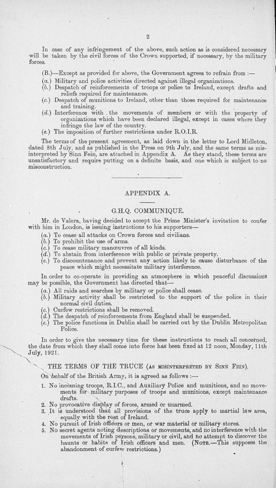In case of any infringement of the above, such action as is considered necessary will be taken by the civil forces of the Crown supported, if necessary, by the military forces.

(B.)—Except as provided for above, the Government agrees to refrain from :—

- (a.) Military and police activities directed against illegal organizations.
- $(b.)$  Despatch of reinforcements of troops or police to Ireland, except drafts and reliefs required for maintenance.
- (c.) Despatch of munitions to Ireland, other than those required for maintenance and training.
- *(d.)* Interference with . the movements of members or with the property of organizations which have been declared illegal, except in cases where they
- $(e.)$  The imposition of further restrictions under R.O.I.R.

The terms of the present agreement, as laid down in the letter to Lord Midleton dated 8th July, and as published in the Press on 9th July, and the same terms as mis interpreted by Sinn Fein, are attached in Appendix A. As they stand, these terms ar unsatisfactory and require putting on a definite basis, and one which is subject to no misconstruction.

### APPENDIX A.

# G.H.Q. COMMUNIQUE.

Mr. de Valera, having decided to accept the Prime Minister's invitation to confer with him in London, is issuing instructions to his supporters—

- 
- 
- 
- 
- (a.) To cease all attacks on Crown forces and civilians.<br>
(b.) To prohibit the use of arms.<br>
(c.) To cease military manœuvres of all kinds.<br>
(d.) To abstain from interference with public or private property.<br>
(e.) To disc peace which might necessitate military interference.

In order to co-operate in providing an atmosphere in which peaceful discussions may be possible, the Government has directed that-

- (a.) All raids and searches by military or police shall cease.
- $(b.)$  Military activity shall be restricted to the support of the police in their normal civil duties. normal civil duties,
- (c.) Curfew restrictions shall be removed.
- *(d.)* The despatch of reinforcements from England shall be suspended,
- (e.) The police functions in Dublin shall be carried out by the Dublin Metropolita Police.

In order to give the necessary time for these instructions to reach all concerned, the date from which they shall come into force has been fixed at 12 noon, Monday, 11th July, 1921.

THE TERMS OF THE TRUCE (As MISINTERPRETED BY SINN FEIN).

On behalf of the British Army, it is agreed as follows :-

- 1. No incoming troops, R.I.C., and Auxiliary Police and munitions, and no movements for military purposes of troops and munitions, except maintenance drafts.
- 2. No provocative display of forces, armed or unarmed.
- 3. It is understood that all provisions of the truce apply to martial law area, equally with the rest of Ireland.
- 
- 4. No pursuit of Irish officers or men, or war material or military stores.<br>5. No secret agents noting descriptions or movements, and no interference with the movements of Irish persons, military or civil, and no attempt to discover the haunts or habits of Irish officers and men. (Nore.-This supposes the abandonment of curfew restrictions.)

e